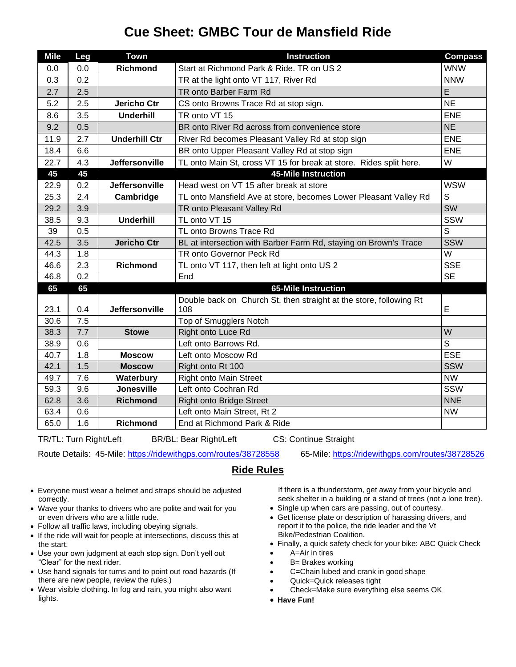## **Cue Sheet: GMBC Tour de Mansfield Ride**

| <b>Mile</b> | Leg | <b>Town</b>           | <b>Instruction</b>                                                        | <b>Compass</b> |
|-------------|-----|-----------------------|---------------------------------------------------------------------------|----------------|
| 0.0         | 0.0 | <b>Richmond</b>       | Start at Richmond Park & Ride. TR on US 2                                 | <b>WNW</b>     |
| 0.3         | 0.2 |                       | TR at the light onto VT 117, River Rd                                     | <b>NNW</b>     |
| 2.7         | 2.5 |                       | TR onto Barber Farm Rd                                                    | E              |
| 5.2         | 2.5 | <b>Jericho Ctr</b>    | CS onto Browns Trace Rd at stop sign.                                     | <b>NE</b>      |
| 8.6         | 3.5 | <b>Underhill</b>      | TR onto VT 15                                                             | <b>ENE</b>     |
| 9.2         | 0.5 |                       | BR onto River Rd across from convenience store                            | <b>NE</b>      |
| 11.9        | 2.7 | <b>Underhill Ctr</b>  | River Rd becomes Pleasant Valley Rd at stop sign                          | <b>ENE</b>     |
| 18.4        | 6.6 |                       | BR onto Upper Pleasant Valley Rd at stop sign                             | <b>ENE</b>     |
| 22.7        | 4.3 | <b>Jeffersonville</b> | TL onto Main St, cross VT 15 for break at store. Rides split here.        | W              |
| 45          | 45  |                       | 45-Mile Instruction                                                       |                |
| 22.9        | 0.2 | <b>Jeffersonville</b> | Head west on VT 15 after break at store                                   | <b>WSW</b>     |
| 25.3        | 2.4 | Cambridge             | TL onto Mansfield Ave at store, becomes Lower Pleasant Valley Rd          | S              |
| 29.2        | 3.9 |                       | TR onto Pleasant Valley Rd                                                | SW             |
| 38.5        | 9.3 | <b>Underhill</b>      | TL onto VT 15                                                             | SSW            |
| 39          | 0.5 |                       | TL onto Browns Trace Rd                                                   | S              |
| 42.5        | 3.5 | <b>Jericho Ctr</b>    | BL at intersection with Barber Farm Rd, staying on Brown's Trace          | <b>SSW</b>     |
| 44.3        | 1.8 |                       | TR onto Governor Peck Rd                                                  | W              |
| 46.6        | 2.3 | <b>Richmond</b>       | TL onto VT 117, then left at light onto US 2                              | <b>SSE</b>     |
| 46.8        | 0.2 |                       | End                                                                       | <b>SE</b>      |
| 65          | 65  |                       | 65-Mile Instruction                                                       |                |
| 23.1        | 0.4 | Jeffersonville        | Double back on Church St, then straight at the store, following Rt<br>108 | E              |
| 30.6        | 7.5 |                       | Top of Smugglers Notch                                                    |                |
| 38.3        | 7.7 | <b>Stowe</b>          | Right onto Luce Rd                                                        | W              |
| 38.9        | 0.6 |                       | Left onto Barrows Rd.                                                     | $\overline{s}$ |
| 40.7        | 1.8 | <b>Moscow</b>         | Left onto Moscow Rd                                                       | <b>ESE</b>     |
| 42.1        | 1.5 | <b>Moscow</b>         | Right onto Rt 100                                                         | <b>SSW</b>     |
| 49.7        | 7.6 | Waterbury             | <b>Right onto Main Street</b>                                             | <b>NW</b>      |
| 59.3        | 9.6 | <b>Jonesville</b>     | Left onto Cochran Rd                                                      | SSW            |
| 62.8        | 3.6 | <b>Richmond</b>       | <b>Right onto Bridge Street</b>                                           | <b>NNE</b>     |
| 63.4        | 0.6 |                       | Left onto Main Street, Rt 2                                               | <b>NW</b>      |
| 65.0        | 1.6 | <b>Richmond</b>       | End at Richmond Park & Ride                                               |                |
|             |     |                       |                                                                           |                |

TR/TL: Turn Right/Left BR/BL: Bear Right/Left CS: Continue Straight

Route Details: 45-Mile:<https://ridewithgps.com/routes/38728558>65-Mile:<https://ridewithgps.com/routes/38728526>

## **Ride Rules**

- Everyone must wear a helmet and straps should be adjusted correctly.
- Wave your thanks to drivers who are polite and wait for you or even drivers who are a little rude.
- Follow all traffic laws, including obeying signals.
- If the ride will wait for people at intersections, discuss this at the start.
- Use your own judgment at each stop sign. Don't yell out "Clear" for the next rider.
- Use hand signals for turns and to point out road hazards (If there are new people, review the rules.)
- Wear visible clothing. In fog and rain, you might also want lights.

If there is a thunderstorm, get away from your bicycle and seek shelter in a building or a stand of trees (not a lone tree).

- Single up when cars are passing, out of courtesy.
- Get license plate or description of harassing drivers, and report it to the police, the ride leader and the Vt Bike/Pedestrian Coalition.
- Finally, a quick safety check for your bike: ABC Quick Check
- A=Air in tires
- **B**= Brakes working
- C=Chain lubed and crank in good shape
- Quick=Quick releases tight
- Check=Make sure everything else seems OK
- **Have Fun!**